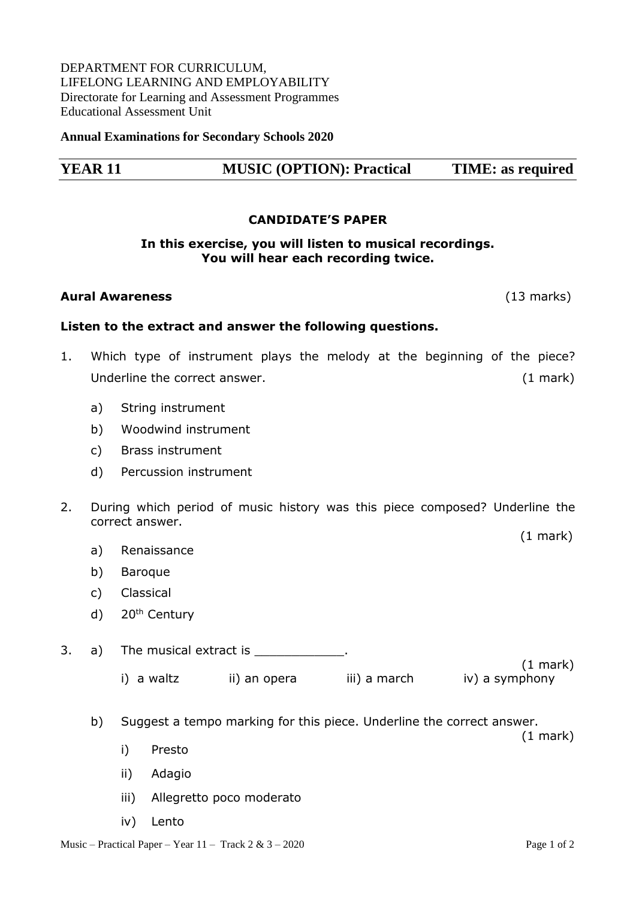## DEPARTMENT FOR CURRICULUM, LIFELONG LEARNING AND EMPLOYABILITY Directorate for Learning and Assessment Programmes Educational Assessment Unit

**Annual Examinations for Secondary Schools 2020**

# **YEAR 11 MUSIC (OPTION): Practical TIME: as required**

#### **CANDIDATE'S PAPER**

## **In this exercise, you will listen to musical recordings. You will hear each recording twice.**

#### **Aural Awareness** (13 marks)

## **Listen to the extract and answer the following questions.**

- 1. Which type of instrument plays the melody at the beginning of the piece? Underline the correct answer. (1 mark)
	- a) String instrument
	- b) Woodwind instrument
	- c) Brass instrument
	- d) Percussion instrument
- 2. During which period of music history was this piece composed? Underline the correct answer.
	- a) Renaissance
	- b) Baroque
	- c) Classical
	- d) 20<sup>th</sup> Century
- 3. a) The musical extract is the state of the musical extract is the state of the state of the state of the state of the state of the state of the state of the state of the state of the state of the state of the state of t (1 mark) i) a waltz ii) an opera iii) a march iv) a symphony
	- b) Suggest a tempo marking for this piece. Underline the correct answer.

(1 mark)

ii) Adagio

i) Presto

- iii) Allegretto poco moderato
- iv) Lento

(1 mark)